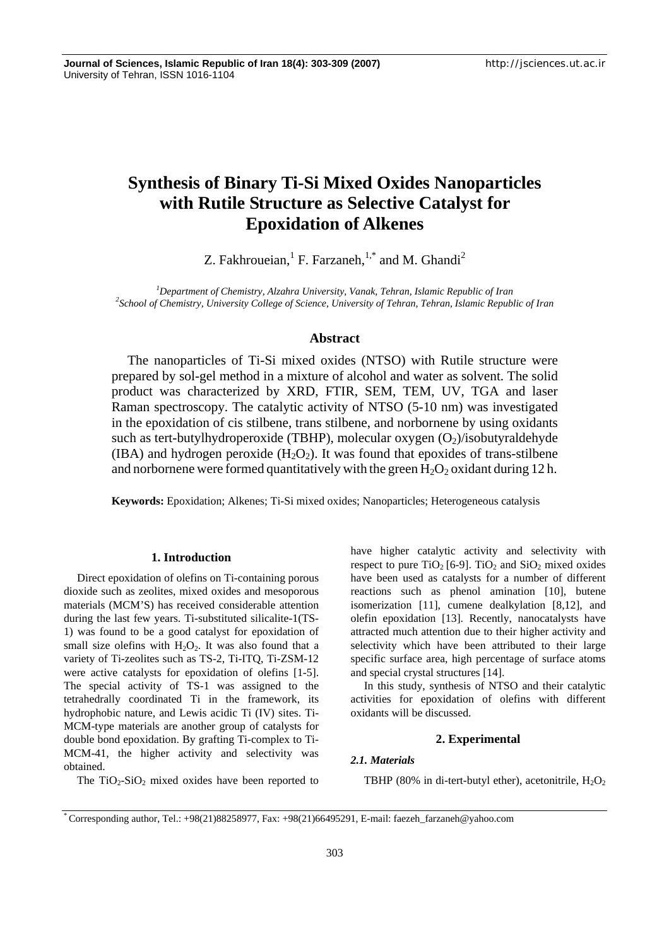# **Synthesis of Binary Ti-Si Mixed Oxides Nanoparticles with Rutile Structure as Selective Catalyst for Epoxidation of Alkenes**

Z. Fakhroueian,  ${}^{1}$  F. Farzaneh,  ${}^{1,*}$  and M. Ghandi<sup>2</sup>

<sup>1</sup><br>
<sup>1</sup> Department of Chemistry, Alzahra University, Vanak, Tehran, Islamic Republic of Iran <sup>2</sup> School of Chemistry, University College of Science, University of Tehran, Tehran, Islamic Benubl *School of Chemistry, University College of Science, University of Tehran, Tehran, Islamic Republic of Iran* 

# **Abstract**

The nanoparticles of Ti-Si mixed oxides (NTSO) with Rutile structure were prepared by sol-gel method in a mixture of alcohol and water as solvent. The solid product was characterized by XRD, FTIR, SEM, TEM, UV, TGA and laser Raman spectroscopy. The catalytic activity of NTSO (5-10 nm) was investigated in the epoxidation of cis stilbene, trans stilbene, and norbornene by using oxidants such as tert-butylhydroperoxide (TBHP), molecular oxygen  $(O_2)/i$ sobutyraldehyde (IBA) and hydrogen peroxide  $(H_2O_2)$ . It was found that epoxides of trans-stilbene and norbornene were formed quantitatively with the green  $H_2O_2$  oxidant during 12 h.

**Keywords:** Epoxidation; Alkenes; Ti-Si mixed oxides; Nanoparticles; Heterogeneous catalysis

### **1. Introduction**

Direct epoxidation of olefins on Ti-containing porous dioxide such as zeolites, mixed oxides and mesoporous materials (MCM'S) has received considerable attention during the last few years. Ti-substituted silicalite-1(TS-1) was found to be a good catalyst for epoxidation of small size olefins with  $H_2O_2$ . It was also found that a variety of Ti-zeolites such as TS-2, Ti-ITQ, Ti-ZSM-12 were active catalysts for epoxidation of olefins [1-5]. The special activity of TS-1 was assigned to the tetrahedrally coordinated Ti in the framework, its hydrophobic nature, and Lewis acidic Ti (IV) sites. Ti-MCM-type materials are another group of catalysts for double bond epoxidation. By grafting Ti-complex to Ti-MCM-41, the higher activity and selectivity was obtained.

The  $TiO<sub>2</sub>-SiO<sub>2</sub>$  mixed oxides have been reported to

have higher catalytic activity and selectivity with respect to pure  $TiO<sub>2</sub>$  [6-9].  $TiO<sub>2</sub>$  and  $SiO<sub>2</sub>$  mixed oxides have been used as catalysts for a number of different reactions such as phenol amination [10], butene isomerization [11], cumene dealkylation [8,12], and olefin epoxidation [13]. Recently, nanocatalysts have attracted much attention due to their higher activity and selectivity which have been attributed to their large specific surface area, high percentage of surface atoms and special crystal structures [14].

In this study, synthesis of NTSO and their catalytic activities for epoxidation of olefins with different oxidants will be discussed.

## **2. Experimental**

## *2.1. Materials*

TBHP (80% in di-tert-butyl ether), acetonitrile,  $H_2O_2$ 

<sup>\*</sup> Corresponding author, Tel.: +98(21)88258977, Fax: +98(21)66495291, E-mail: faezeh\_farzaneh@yahoo.com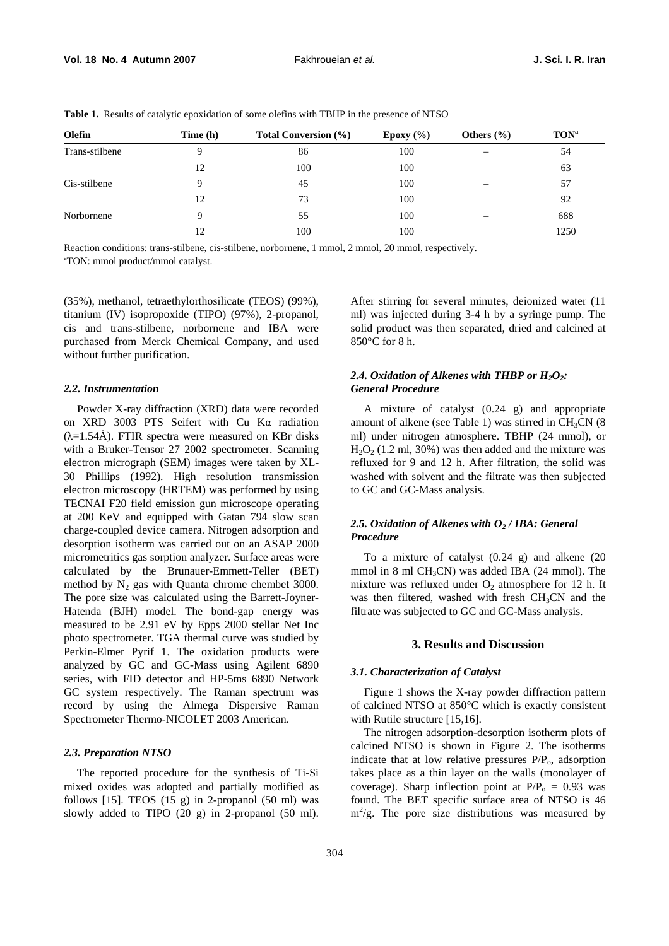| <b>Olefin</b>  | Time (h) | <b>Total Conversion</b> (%) | Epoxy $(\% )$ | Others $(\% )$           | TON <sup>a</sup> |
|----------------|----------|-----------------------------|---------------|--------------------------|------------------|
| Trans-stilbene | 9        | 86                          | 100           | $\overline{\phantom{m}}$ | 54               |
|                | 12       | 100                         | 100           |                          | 63               |
| Cis-stilbene   | Q        | 45                          | 100           |                          | 57               |
|                | 12       | 73                          | 100           |                          | 92               |
| Norbornene     | Q        | 55                          | 100           | $\overline{\phantom{0}}$ | 688              |
|                | 12       | 100                         | 100           |                          | 1250             |

**Table 1.** Results of catalytic epoxidation of some olefins with TBHP in the presence of NTSO

Reaction conditions: trans-stilbene, cis-stilbene, norbornene, 1 mmol, 2 mmol, 20 mmol, respectively. TON: mmol product/mmol catalyst.

(35%), methanol, tetraethylorthosilicate (TEOS) (99%), titanium (IV) isopropoxide (TIPO) (97%), 2-propanol, cis and trans-stilbene, norbornene and IBA were purchased from Merck Chemical Company, and used without further purification.

#### *2.2. Instrumentation*

Powder X-ray diffraction (XRD) data were recorded on XRD 3003 PTS Seifert with Cu Kα radiation  $(\lambda=1.54\text{Å})$ . FTIR spectra were measured on KBr disks with a Bruker-Tensor 27 2002 spectrometer. Scanning electron micrograph (SEM) images were taken by XL-30 Phillips (1992). High resolution transmission electron microscopy (HRTEM) was performed by using TECNAI F20 field emission gun microscope operating at 200 KeV and equipped with Gatan 794 slow scan charge-coupled device camera. Nitrogen adsorption and desorption isotherm was carried out on an ASAP 2000 micrometritics gas sorption analyzer. Surface areas were calculated by the Brunauer-Emmett-Teller (BET) method by  $N_2$  gas with Quanta chrome chembet 3000. The pore size was calculated using the Barrett-Joyner-Hatenda (BJH) model. The bond-gap energy was measured to be 2.91 eV by Epps 2000 stellar Net Inc photo spectrometer. TGA thermal curve was studied by Perkin-Elmer Pyrif 1. The oxidation products were analyzed by GC and GC-Mass using Agilent 6890 series, with FID detector and HP-5ms 6890 Network GC system respectively. The Raman spectrum was record by using the Almega Dispersive Raman Spectrometer Thermo-NICOLET 2003 American.

#### *2.3. Preparation NTSO*

The reported procedure for the synthesis of Ti-Si mixed oxides was adopted and partially modified as follows  $[15]$ . TEOS  $(15 \text{ g})$  in 2-propanol  $(50 \text{ ml})$  was slowly added to TIPO (20 g) in 2-propanol (50 ml). After stirring for several minutes, deionized water (11 ml) was injected during 3-4 h by a syringe pump. The solid product was then separated, dried and calcined at 850°C for 8 h.

# 2.4. Oxidation of Alkenes with THBP or  $H_2O_2$ : *General Procedure*

A mixture of catalyst (0.24 g) and appropriate amount of alkene (see Table 1) was stirred in  $CH<sub>3</sub>CN$  (8) ml) under nitrogen atmosphere. TBHP (24 mmol), or  $H_2O_2$  (1.2 ml, 30%) was then added and the mixture was refluxed for 9 and 12 h. After filtration, the solid was washed with solvent and the filtrate was then subjected to GC and GC-Mass analysis.

# 2.5. Oxidation of Alkenes with O<sub>2</sub> / IBA: General *Procedure*

To a mixture of catalyst (0.24 g) and alkene (20 mmol in 8 ml  $CH<sub>3</sub>CN$ ) was added IBA (24 mmol). The mixture was refluxed under  $O_2$  atmosphere for 12 h. It was then filtered, washed with fresh  $CH<sub>3</sub>CN$  and the filtrate was subjected to GC and GC-Mass analysis.

# **3. Results and Discussion**

### *3.1. Characterization of Catalyst*

Figure 1 shows the X-ray powder diffraction pattern of calcined NTSO at 850°C which is exactly consistent with Rutile structure [15,16].

The nitrogen adsorption-desorption isotherm plots of calcined NTSO is shown in Figure 2. The isotherms indicate that at low relative pressures  $P/P<sub>o</sub>$ , adsorption takes place as a thin layer on the walls (monolayer of coverage). Sharp inflection point at  $P/P_0 = 0.93$  was found. The BET specific surface area of NTSO is 46  $m^2/g$ . The pore size distributions was measured by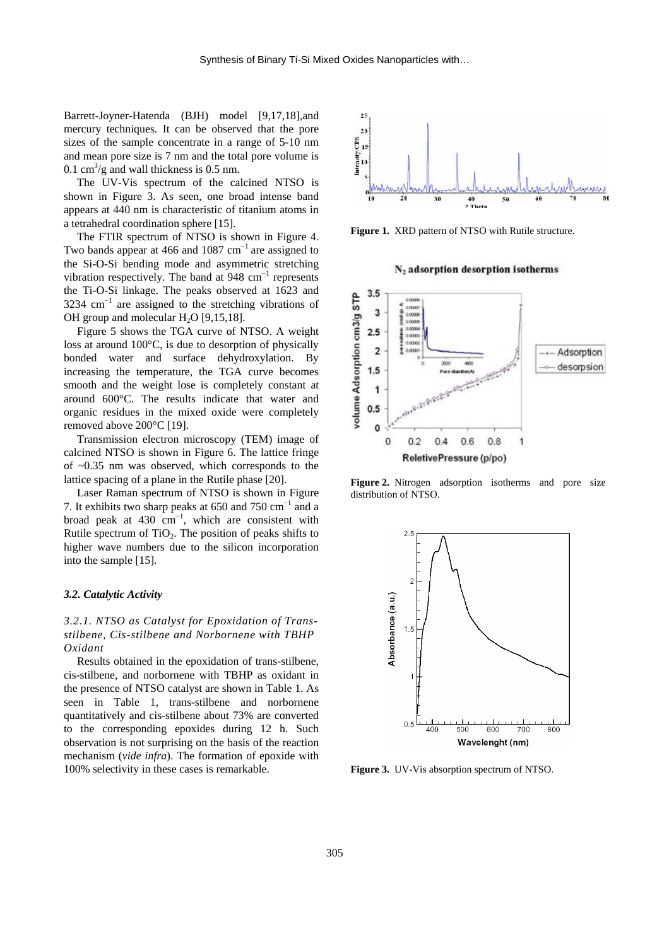Barrett-Joyner-Hatenda (BJH) model [9,17,18],and mercury techniques. It can be observed that the pore sizes of the sample concentrate in a range of 5-10 nm and mean pore size is 7 nm and the total pore volume is 0.1 cm<sup>3</sup>/g and wall thickness is 0.5 nm.

The UV-Vis spectrum of the calcined NTSO is shown in Figure 3. As seen, one broad intense band appears at 440 nm is characteristic of titanium atoms in a tetrahedral coordination sphere [15].

The FTIR spectrum of NTSO is shown in Figure 4. Two bands appear at 466 and 1087  $cm^{-1}$  are assigned to the Si-O-Si bending mode and asymmetric stretching vibration respectively. The band at 948  $cm^{-1}$  represents the Ti-O-Si linkage. The peaks observed at 1623 and 3234  $\text{cm}^{-1}$  are assigned to the stretching vibrations of OH group and molecular  $H_2O$  [9,15,18].

Figure 5 shows the TGA curve of NTSO. A weight loss at around 100°C, is due to desorption of physically bonded water and surface dehydroxylation. By increasing the temperature, the TGA curve becomes smooth and the weight lose is completely constant at around 600°C. The results indicate that water and organic residues in the mixed oxide were completely removed above 200°C [19].

Transmission electron microscopy (TEM) image of calcined NTSO is shown in Figure 6. The lattice fringe of ~0.35 nm was observed, which corresponds to the lattice spacing of a plane in the Rutile phase [20].

Laser Raman spectrum of NTSO is shown in Figure 7. It exhibits two sharp peaks at 650 and 750  $\text{cm}^{-1}$  and a broad peak at 430 cm<sup>-1</sup>, which are consistent with Rutile spectrum of  $TiO<sub>2</sub>$ . The position of peaks shifts to higher wave numbers due to the silicon incorporation into the sample [15].

## *3.2. Catalytic Activity*

*3.2.1. NTSO as Catalyst for Epoxidation of Transstilbene, Cis-stilbene and Norbornene with TBHP Oxidant* 

Results obtained in the epoxidation of trans-stilbene, cis-stilbene, and norbornene with TBHP as oxidant in the presence of NTSO catalyst are shown in Table 1. As seen in Table 1, trans-stilbene and norbornene quantitatively and cis-stilbene about 73% are converted to the corresponding epoxides during 12 h. Such observation is not surprising on the basis of the reaction mechanism (*vide infra*). The formation of epoxide with 100% selectivity in these cases is remarkable.



**Figure 1.** XRD pattern of NTSO with Rutile structure.

N<sub>2</sub> adsorption desorption isotherms



**Figure 2.** Nitrogen adsorption isotherms and pore size distribution of NTSO.



**Figure 3.** UV-Vis absorption spectrum of NTSO.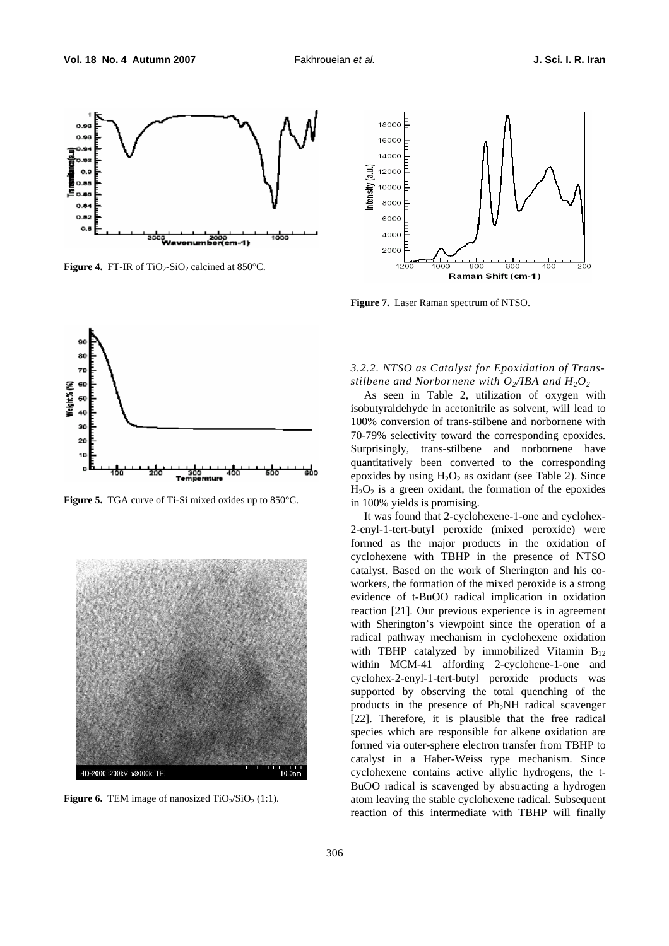

**Figure 4.** FT-IR of TiO<sub>2</sub>-SiO<sub>2</sub> calcined at  $850^{\circ}$ C.



**Figure 5.** TGA curve of Ti-Si mixed oxides up to 850°C.



**Figure 6.** TEM image of nanosized  $TiO_2/SiO_2$  (1:1).



**Figure 7.** Laser Raman spectrum of NTSO.

# *3.2.2. NTSO as Catalyst for Epoxidation of Transstilbene and Norbornene with*  $O_2/IBA$  *and*  $H_2O_2$

As seen in Table 2, utilization of oxygen with isobutyraldehyde in acetonitrile as solvent, will lead to 100% conversion of trans-stilbene and norbornene with 70-79% selectivity toward the corresponding epoxides. Surprisingly, trans-stilbene and norbornene have quantitatively been converted to the corresponding epoxides by using  $H_2O_2$  as oxidant (see Table 2). Since  $H_2O_2$  is a green oxidant, the formation of the epoxides in 100% yields is promising.

It was found that 2-cyclohexene-1-one and cyclohex-2-enyl-1-tert-butyl peroxide (mixed peroxide) were formed as the major products in the oxidation of cyclohexene with TBHP in the presence of NTSO catalyst. Based on the work of Sherington and his coworkers, the formation of the mixed peroxide is a strong evidence of t-BuOO radical implication in oxidation reaction [21]. Our previous experience is in agreement with Sherington's viewpoint since the operation of a radical pathway mechanism in cyclohexene oxidation with TBHP catalyzed by immobilized Vitamin  $B_{12}$ within MCM-41 affording 2-cyclohene-1-one and cyclohex-2-enyl-1-tert-butyl peroxide products was supported by observing the total quenching of the products in the presence of Ph<sub>2</sub>NH radical scavenger [22]. Therefore, it is plausible that the free radical species which are responsible for alkene oxidation are formed via outer-sphere electron transfer from TBHP to catalyst in a Haber-Weiss type mechanism. Since cyclohexene contains active allylic hydrogens, the t-BuOO radical is scavenged by abstracting a hydrogen atom leaving the stable cyclohexene radical. Subsequent reaction of this intermediate with TBHP will finally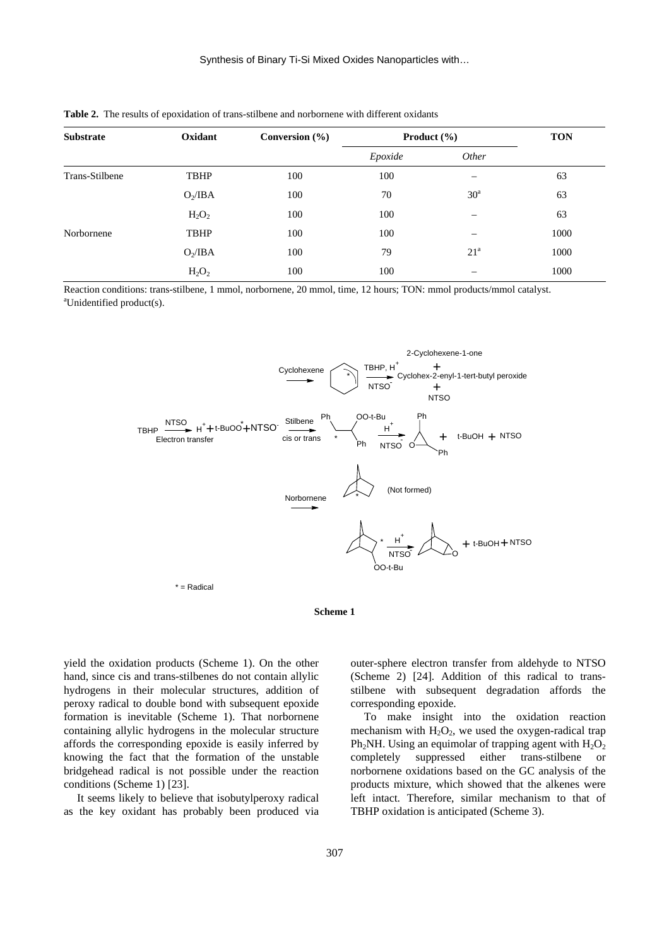| <b>Substrate</b> | Oxidant     | Conversion $(\% )$ | <b>Product</b> $(\% )$ |                          | <b>TON</b> |
|------------------|-------------|--------------------|------------------------|--------------------------|------------|
|                  |             |                    | Epoxide                | Other                    |            |
| Trans-Stilbene   | <b>TBHP</b> | 100                | 100                    |                          | 63         |
|                  | $O_2/IBA$   | 100                | 70                     | 30 <sup>a</sup>          | 63         |
|                  | $H_2O_2$    | 100                | 100                    | $\overline{\phantom{m}}$ | 63         |
| Norbornene       | <b>TBHP</b> | 100                | 100                    | –                        | 1000       |
|                  | $O_2/IBA$   | 100                | 79                     | 21 <sup>a</sup>          | 1000       |
|                  | $H_2O_2$    | 100                | 100                    |                          | 1000       |

**Table 2.** The results of epoxidation of trans-stilbene and norbornene with different oxidants

Reaction conditions: trans-stilbene, 1 mmol, norbornene, 20 mmol, time, 12 hours; TON: mmol products/mmol catalyst. Unidentified product(s).





yield the oxidation products (Scheme 1). On the other hand, since cis and trans-stilbenes do not contain allylic hydrogens in their molecular structures, addition of peroxy radical to double bond with subsequent epoxide formation is inevitable (Scheme 1). That norbornene containing allylic hydrogens in the molecular structure affords the corresponding epoxide is easily inferred by knowing the fact that the formation of the unstable bridgehead radical is not possible under the reaction conditions (Scheme 1) [23].

It seems likely to believe that isobutylperoxy radical as the key oxidant has probably been produced via outer-sphere electron transfer from aldehyde to NTSO (Scheme 2) [24]. Addition of this radical to transstilbene with subsequent degradation affords the corresponding epoxide.

To make insight into the oxidation reaction mechanism with  $H_2O_2$ , we used the oxygen-radical trap Ph<sub>2</sub>NH. Using an equimolar of trapping agent with  $H_2O_2$ completely suppressed either trans-stilbene or norbornene oxidations based on the GC analysis of the products mixture, which showed that the alkenes were left intact. Therefore, similar mechanism to that of TBHP oxidation is anticipated (Scheme 3).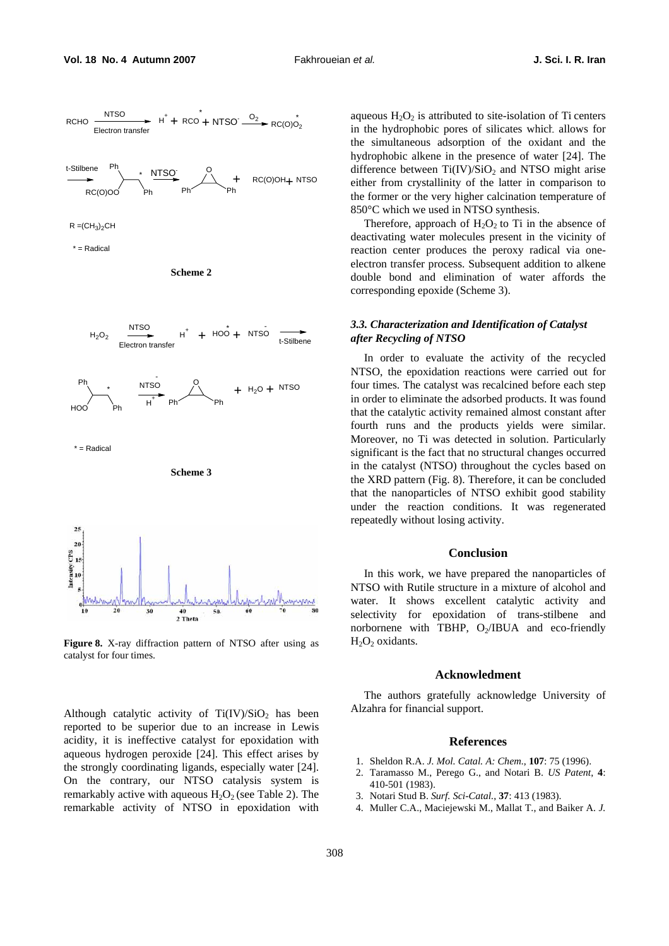

**Figure 8.** X-ray diffraction pattern of NTSO after using as catalyst for four times.

Although catalytic activity of  $Ti(IV)/SiO<sub>2</sub>$  has been reported to be superior due to an increase in Lewis acidity, it is ineffective catalyst for epoxidation with aqueous hydrogen peroxide [24]. This effect arises by the strongly coordinating ligands, especially water [24]. On the contrary, our NTSO catalysis system is remarkably active with aqueous  $H_2O_2$  (see Table 2). The remarkable activity of NTSO in epoxidation with aqueous  $H_2O_2$  is attributed to site-isolation of Ti centers in the hydrophobic pores of silicates which allows for the simultaneous adsorption of the oxidant and the hydrophobic alkene in the presence of water [24]. The difference between  $Ti(IV)/SiO<sub>2</sub>$  and NTSO might arise either from crystallinity of the latter in comparison to the former or the very higher calcination temperature of 850°C which we used in NTSO synthesis.

Therefore, approach of  $H_2O_2$  to Ti in the absence of deactivating water molecules present in the vicinity of reaction center produces the peroxy radical via oneelectron transfer process. Subsequent addition to alkene double bond and elimination of water affords the corresponding epoxide (Scheme 3).

# *3.3. Characterization and Identification of Catalyst after Recycling of NTSO*

In order to evaluate the activity of the recycled NTSO, the epoxidation reactions were carried out for four times. The catalyst was recalcined before each step in order to eliminate the adsorbed products. It was found that the catalytic activity remained almost constant after fourth runs and the products yields were similar. Moreover, no Ti was detected in solution. Particularly significant is the fact that no structural changes occurred in the catalyst (NTSO) throughout the cycles based on the XRD pattern (Fig. 8). Therefore, it can be concluded that the nanoparticles of NTSO exhibit good stability under the reaction conditions. It was regenerated repeatedly without losing activity.

#### **Conclusion**

In this work, we have prepared the nanoparticles of NTSO with Rutile structure in a mixture of alcohol and water. It shows excellent catalytic activity and selectivity for epoxidation of trans-stilbene and norbornene with TBHP,  $O_2/IBUA$  and eco-friendly  $H<sub>2</sub>O<sub>2</sub>$  oxidants.

#### **Acknowledment**

The authors gratefully acknowledge University of Alzahra for financial support.

# **References**

- 1. Sheldon R.A. *J. Mol. Catal. A: Chem.*, **107**: 75 (1996).
- 2. Taramasso M., Perego G., and Notari B. *US Patent*, **4**: 410-501 (1983).
- 3. Notari Stud B. *Surf. Sci-Catal.*, **37**: 413 (1983).
- 4. Muller C.A., Maciejewski M., Mallat T., and Baiker A. *J.*